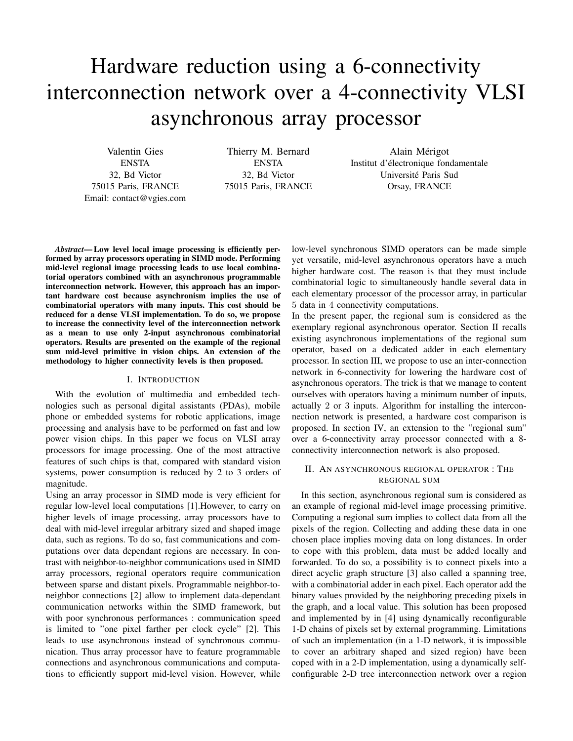# Hardware reduction using a 6-connectivity interconnection network over a 4-connectivity VLSI asynchronous array processor

Valentin Gies ENSTA 32, Bd Victor 75015 Paris, FRANCE Email: contact@vgies.com

Thierry M. Bernard ENSTA 32, Bd Victor 75015 Paris, FRANCE

Alain Mérigot Institut d'électronique fondamentale Université Paris Sud Orsay, FRANCE

*Abstract***—Low level local image processing is efficiently performed by array processors operating in SIMD mode. Performing mid-level regional image processing leads to use local combinatorial operators combined with an asynchronous programmable interconnection network. However, this approach has an important hardware cost because asynchronism implies the use of combinatorial operators with many inputs. This cost should be reduced for a dense VLSI implementation. To do so, we propose to increase the connectivity level of the interconnection network as a mean to use only 2-input asynchronous combinatorial operators. Results are presented on the example of the regional sum mid-level primitive in vision chips. An extension of the methodology to higher connectivity levels is then proposed.**

#### I. INTRODUCTION

With the evolution of multimedia and embedded technologies such as personal digital assistants (PDAs), mobile phone or embedded systems for robotic applications, image processing and analysis have to be performed on fast and low power vision chips. In this paper we focus on VLSI array processors for image processing. One of the most attractive features of such chips is that, compared with standard vision systems, power consumption is reduced by 2 to 3 orders of magnitude.

Using an array processor in SIMD mode is very efficient for regular low-level local computations [1].However, to carry on higher levels of image processing, array processors have to deal with mid-level irregular arbitrary sized and shaped image data, such as regions. To do so, fast communications and computations over data dependant regions are necessary. In contrast with neighbor-to-neighbor communications used in SIMD array processors, regional operators require communication between sparse and distant pixels. Programmable neighbor-toneighbor connections [2] allow to implement data-dependant communication networks within the SIMD framework, but with poor synchronous performances : communication speed is limited to "one pixel farther per clock cycle" [2]. This leads to use asynchronous instead of synchronous communication. Thus array processor have to feature programmable connections and asynchronous communications and computations to efficiently support mid-level vision. However, while

low-level synchronous SIMD operators can be made simple yet versatile, mid-level asynchronous operators have a much higher hardware cost. The reason is that they must include combinatorial logic to simultaneously handle several data in each elementary processor of the processor array, in particular 5 data in 4 connectivity computations.

In the present paper, the regional sum is considered as the exemplary regional asynchronous operator. Section II recalls existing asynchronous implementations of the regional sum operator, based on a dedicated adder in each elementary processor. In section III, we propose to use an inter-connection network in 6-connectivity for lowering the hardware cost of asynchronous operators. The trick is that we manage to content ourselves with operators having a minimum number of inputs, actually 2 or 3 inputs. Algorithm for installing the interconnection network is presented, a hardware cost comparison is proposed. In section IV, an extension to the "regional sum" over a 6-connectivity array processor connected with a 8 connectivity interconnection network is also proposed.

# II. AN ASYNCHRONOUS REGIONAL OPERATOR : THE REGIONAL SUM

In this section, asynchronous regional sum is considered as an example of regional mid-level image processing primitive. Computing a regional sum implies to collect data from all the pixels of the region. Collecting and adding these data in one chosen place implies moving data on long distances. In order to cope with this problem, data must be added locally and forwarded. To do so, a possibility is to connect pixels into a direct acyclic graph structure [3] also called a spanning tree, with a combinatorial adder in each pixel. Each operator add the binary values provided by the neighboring preceding pixels in the graph, and a local value. This solution has been proposed and implemented by in [4] using dynamically reconfigurable 1-D chains of pixels set by external programming. Limitations of such an implementation (in a 1-D network, it is impossible to cover an arbitrary shaped and sized region) have been coped with in a 2-D implementation, using a dynamically selfconfigurable 2-D tree interconnection network over a region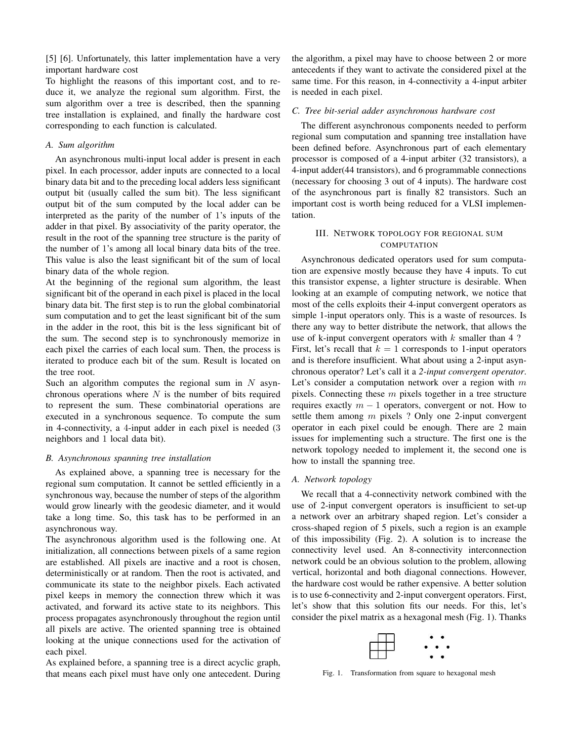[5] [6]. Unfortunately, this latter implementation have a very important hardware cost

To highlight the reasons of this important cost, and to reduce it, we analyze the regional sum algorithm. First, the sum algorithm over a tree is described, then the spanning tree installation is explained, and finally the hardware cost corresponding to each function is calculated.

#### *A. Sum algorithm*

An asynchronous multi-input local adder is present in each pixel. In each processor, adder inputs are connected to a local binary data bit and to the preceding local adders less significant output bit (usually called the sum bit). The less significant output bit of the sum computed by the local adder can be interpreted as the parity of the number of 1's inputs of the adder in that pixel. By associativity of the parity operator, the result in the root of the spanning tree structure is the parity of the number of 1's among all local binary data bits of the tree. This value is also the least significant bit of the sum of local binary data of the whole region.

At the beginning of the regional sum algorithm, the least significant bit of the operand in each pixel is placed in the local binary data bit. The first step is to run the global combinatorial sum computation and to get the least significant bit of the sum in the adder in the root, this bit is the less significant bit of the sum. The second step is to synchronously memorize in each pixel the carries of each local sum. Then, the process is iterated to produce each bit of the sum. Result is located on the tree root.

Such an algorithm computes the regional sum in  $N$  asynchronous operations where  $N$  is the number of bits required to represent the sum. These combinatorial operations are executed in a synchronous sequence. To compute the sum in 4-connectivity, a 4-input adder in each pixel is needed (3 neighbors and 1 local data bit).

#### *B. Asynchronous spanning tree installation*

As explained above, a spanning tree is necessary for the regional sum computation. It cannot be settled efficiently in a synchronous way, because the number of steps of the algorithm would grow linearly with the geodesic diameter, and it would take a long time. So, this task has to be performed in an asynchronous way.

The asynchronous algorithm used is the following one. At initialization, all connections between pixels of a same region are established. All pixels are inactive and a root is chosen, deterministically or at random. Then the root is activated, and communicate its state to the neighbor pixels. Each activated pixel keeps in memory the connection threw which it was activated, and forward its active state to its neighbors. This process propagates asynchronously throughout the region until all pixels are active. The oriented spanning tree is obtained looking at the unique connections used for the activation of each pixel.

As explained before, a spanning tree is a direct acyclic graph, that means each pixel must have only one antecedent. During the algorithm, a pixel may have to choose between 2 or more antecedents if they want to activate the considered pixel at the same time. For this reason, in 4-connectivity a 4-input arbiter is needed in each pixel.

#### *C. Tree bit-serial adder asynchronous hardware cost*

The different asynchronous components needed to perform regional sum computation and spanning tree installation have been defined before. Asynchronous part of each elementary processor is composed of a 4-input arbiter (32 transistors), a 4-input adder(44 transistors), and 6 programmable connections (necessary for choosing 3 out of 4 inputs). The hardware cost of the asynchronous part is finally 82 transistors. Such an important cost is worth being reduced for a VLSI implementation.

### III. NETWORK TOPOLOGY FOR REGIONAL SUM **COMPUTATION**

Asynchronous dedicated operators used for sum computation are expensive mostly because they have 4 inputs. To cut this transistor expense, a lighter structure is desirable. When looking at an example of computing network, we notice that most of the cells exploits their 4-input convergent operators as simple 1-input operators only. This is a waste of resources. Is there any way to better distribute the network, that allows the use of k-input convergent operators with  $k$  smaller than 4 ? First, let's recall that  $k = 1$  corresponds to 1-input operators and is therefore insufficient. What about using a 2-input asynchronous operator? Let's call it a *2-input convergent operator*. Let's consider a computation network over a region with  $m$ pixels. Connecting these  $m$  pixels together in a tree structure requires exactly  $m - 1$  operators, convergent or not. How to settle them among  $m$  pixels ? Only one 2-input convergent operator in each pixel could be enough. There are 2 main issues for implementing such a structure. The first one is the network topology needed to implement it, the second one is how to install the spanning tree.

#### *A. Network topology*

We recall that a 4-connectivity network combined with the use of 2-input convergent operators is insufficient to set-up a network over an arbitrary shaped region. Let's consider a cross-shaped region of 5 pixels, such a region is an example of this impossibility (Fig. 2). A solution is to increase the connectivity level used. An 8-connectivity interconnection network could be an obvious solution to the problem, allowing vertical, horizontal and both diagonal connections. However, the hardware cost would be rather expensive. A better solution is to use 6-connectivity and 2-input convergent operators. First, let's show that this solution fits our needs. For this, let's consider the pixel matrix as a hexagonal mesh (Fig. 1). Thanks



Fig. 1. Transformation from square to hexagonal mesh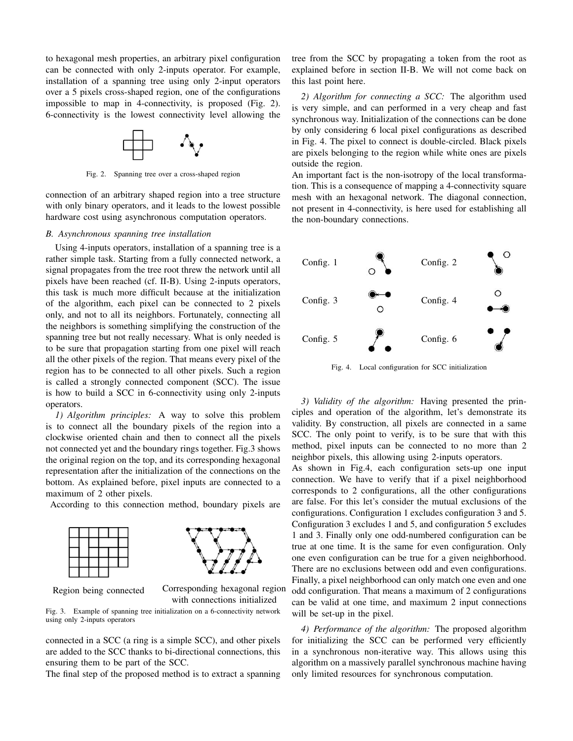to hexagonal mesh properties, an arbitrary pixel configuration can be connected with only 2-inputs operator. For example, installation of a spanning tree using only 2-input operators over a 5 pixels cross-shaped region, one of the configurations impossible to map in 4-connectivity, is proposed (Fig. 2). 6-connectivity is the lowest connectivity level allowing the



Fig. 2. Spanning tree over a cross-shaped region

connection of an arbitrary shaped region into a tree structure with only binary operators, and it leads to the lowest possible hardware cost using asynchronous computation operators.

#### *B. Asynchronous spanning tree installation*

Using 4-inputs operators, installation of a spanning tree is a rather simple task. Starting from a fully connected network, a signal propagates from the tree root threw the network until all pixels have been reached (cf. II-B). Using 2-inputs operators, this task is much more difficult because at the initialization of the algorithm, each pixel can be connected to 2 pixels only, and not to all its neighbors. Fortunately, connecting all the neighbors is something simplifying the construction of the spanning tree but not really necessary. What is only needed is to be sure that propagation starting from one pixel will reach all the other pixels of the region. That means every pixel of the region has to be connected to all other pixels. Such a region is called a strongly connected component (SCC). The issue is how to build a SCC in 6-connectivity using only 2-inputs operators.

*1) Algorithm principles:* A way to solve this problem is to connect all the boundary pixels of the region into a clockwise oriented chain and then to connect all the pixels not connected yet and the boundary rings together. Fig.3 shows the original region on the top, and its corresponding hexagonal representation after the initialization of the connections on the bottom. As explained before, pixel inputs are connected to a maximum of 2 other pixels.

According to this connection method, boundary pixels are





Region being connected Corresponding hexagonal region with connections initialized

Fig. 3. Example of spanning tree initialization on a 6-connectivity network using only 2-inputs operators

connected in a SCC (a ring is a simple SCC), and other pixels are added to the SCC thanks to bi-directional connections, this ensuring them to be part of the SCC.

The final step of the proposed method is to extract a spanning

tree from the SCC by propagating a token from the root as explained before in section II-B. We will not come back on this last point here.

*2) Algorithm for connecting a SCC:* The algorithm used is very simple, and can performed in a very cheap and fast synchronous way. Initialization of the connections can be done by only considering 6 local pixel configurations as described in Fig. 4. The pixel to connect is double-circled. Black pixels are pixels belonging to the region while white ones are pixels outside the region.

An important fact is the non-isotropy of the local transformation. This is a consequence of mapping a 4-connectivity square mesh with an hexagonal network. The diagonal connection, not present in 4-connectivity, is here used for establishing all the non-boundary connections.



Fig. 4. Local configuration for SCC initialization

*3) Validity of the algorithm:* Having presented the principles and operation of the algorithm, let's demonstrate its validity. By construction, all pixels are connected in a same SCC. The only point to verify, is to be sure that with this method, pixel inputs can be connected to no more than 2 neighbor pixels, this allowing using 2-inputs operators.

As shown in Fig.4, each configuration sets-up one input connection. We have to verify that if a pixel neighborhood corresponds to 2 configurations, all the other configurations are false. For this let's consider the mutual exclusions of the configurations. Configuration 1 excludes configuration 3 and 5. Configuration 3 excludes 1 and 5, and configuration 5 excludes 1 and 3. Finally only one odd-numbered configuration can be true at one time. It is the same for even configuration. Only one even configuration can be true for a given neighborhood. There are no exclusions between odd and even configurations. Finally, a pixel neighborhood can only match one even and one odd configuration. That means a maximum of 2 configurations can be valid at one time, and maximum 2 input connections will be set-up in the pixel.

*4) Performance of the algorithm:* The proposed algorithm for initializing the SCC can be performed very efficiently in a synchronous non-iterative way. This allows using this algorithm on a massively parallel synchronous machine having only limited resources for synchronous computation.